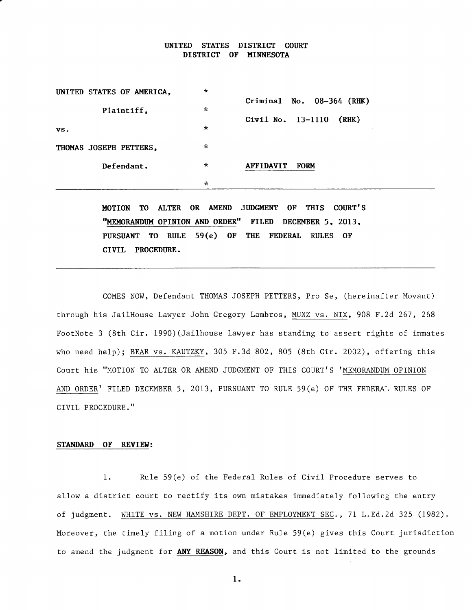### UNITED STATES DISTRICT COURT DISTRICT OF MINNESOTA

| UNITED STATES OF AMERICA,     | $\star$            | Criminal No. 08-364 (RHK)       |
|-------------------------------|--------------------|---------------------------------|
| Plaintiff,                    | $\star$<br>$\star$ | Civil No. 13-1110<br>(RHK)      |
| VS.<br>THOMAS JOSEPH PETTERS, | $\star$            |                                 |
| Defendant.                    | $\star$            | <b>AFFIDAVIT</b><br><b>FORM</b> |
|                               | $\star$            |                                 |

MOTION TO ALTER OR AMEND JUDGMENT OF THIS COURT'S "MEMORANDUM OPINION AND ORDER" FILED DECEMBER 5, 2013, PURSUANT TO RIILE 59(e) OF THE FEDERAL RIILES OF CIVIL PROCEDURE.

COMES NOW, Defendant THOMAS JOSEPH PETTERS, Pro Se, (hereinafter Movant) through his Jailllouse Lawyer John Gregory Lambros, MUNZ vs. NIX, 908 E.2d 267,268 FootNote 3 (8th Cir. 1990) (Jailhouse lawyer has standing to assert rights of inmates who need help); BEAR vs. KAUTZKY, 305 F.3d 802, 805 (Bth Cir. 2002), offering this Court his "MOTION TO ALTER OR AMEND JUDGMENT OF THIS COURT'S 'MEMORANDUM OPINION AND ORDER' FILED DECEMBER 5, 2013, PURSUANT TO RULE  $59(e)$  OF THE FEDERAL RULES OF CIVIL PROCEDURE.''

# STANDARD OF REVIEW:

1. Rule 59(e) of the Federal Rules of Civil Procedure serves to allow a district court to rectify its own mistakes immediately following the entry of judgment. WHITE vs. NEW HAMSHIRE DEPT. 0F EMPLOYMENT SEC., 7l L.Ed.zd 325 (1982). Moreover, the timely filing of a motion under Rule 59(e) gives this Court jurisdiction to amend the judgment for ANY REASON, and this Court is not limited to the grounds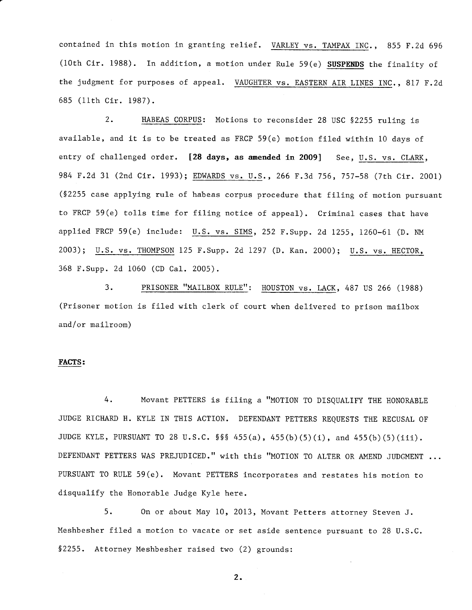contained in this motion in granting relief. <u>VARLEY vs. TAMPAX INC</u>., 855 F.2d 696 (10th Cir. 1988). In addition, a motion under Rule 59(e) SUSPENDS the finality of the judgment for purposes of appeal. <u>VAUGHTER vs. EASTERN AIR LINES INC</u>., 817 F.2d 685 (11th Cir. 1987).

2. HABEAS CORPUS: Motions to reconsider 28 USC §2255 ruling is available, and it is to be treated as FRCP 59(e) motion filed within 10 days of entry of challenged order. [28 days, as amended in 2009] See, U.S. vs. CLARK, 984 F.2d 31 (2nd Cir. 1993); EDWARDS vs. U.S., 266 F.3d 756, 757-58 (7th Cir. 2001) (S2255 case applying rule of habeas corpus procedure that filing of motion pursuant to FRCP 59 (e) to11s time for filing notice of appeal) . Criminal cases that have applied FRCP 59(e) include: u.s. vs. SrMS, 252 F.supp. 2d L255, 1260-61 (D. NM 2003); U.S. vs. THOMPSON 125 F. Supp. 2d 1297 (D. Kan. 2000); U.S. vs. HECTOR, 368 F.Supp. 2d 1060 (CD Ca1. 2005).

3. PRISONER ''MAILBOX RULEI': HOUSTON VS. LACK, 487 uS 266 (1988) (Prisoner motion is filed with clerk of court when delivered to prison mailbox and/or mailroom)

# EACTS:

4. Movant PETTERS is filing a "MOTION TO DISQUALIFY THE HONORABLE JUDGE RICHARD H. KYLE IN THIS ACTION. DEFENDANT PETTERS REQUESTS THE RECUSAL OF JUDGE KYLE, PURSUANT To 28 u.s.c. SSS 455(a), 455(b)(5)(i), and 455(b)(5)(iii). DEFENDANT PETTERS WAS PREJUDICED." with this "MOTION TO ALTER OR AMEND JUDGMENT ... PURSUANT TO RULE 59 (e). Movant PETTERS incorporates and restates his motion to disqualify the Honorable Judge Kyle here.

5. 0n or about May 10, 2013, Movant Petters attorney Steven J. Meshbesher filed a motion to vacate or set aside sentence pursuant to 28 U.S.C. 52255. Attorney Meshbesher raised two (2) grounds: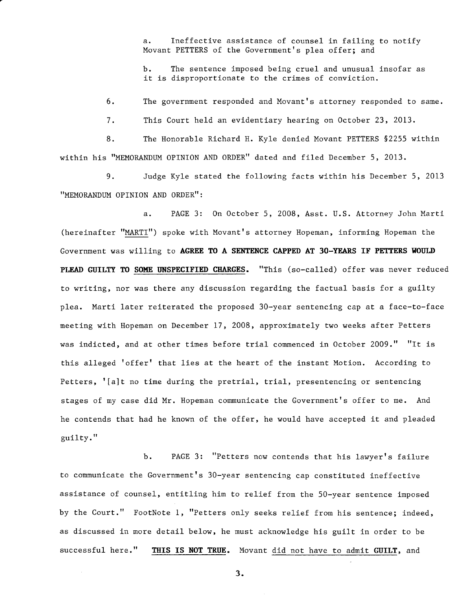a. Ineffective assistance of counsel in failing to notify Movant PETTERS of the Government's plea offer; and

b. The sentence imposed being cruel and unusual insofar as it is disproportionate to the crimes of conviction.

6. The government responded and Movant's attorney responded to same.

7. This Court held an evidentiary hearing on October 23, 2013.

B. The Honorable Richard H. Kyle denied Movant PETTERS §2255 within within his "MEMORANDUM OPINION AND ORDER" dated and filed December 5, 2013.

9. Judge Kyle stated the following facts within his December 5,2013 "MEMORANDUM OPINION AND ORDER":

a. PAGE 3: On October 5, 2008, Asst. U.S. Attorney John Marti (hereinafter "MARTI") spoke with Movant's attorney Hopeman, informing Hopeman the Government was willing to AGREE TO A SENTENCE CAPPED AT 30-YEARS IF PETTERS WOULD PLEAD GUILTY TO SOME UNSPECIFIED CHARGES. "This (so-called) offer was never reduced to writing, nor was there any discussion regarding the factual basis for a guilty plea. Marti later reiterated the proposed 30-year sentencing cap at a face-to-face meeting with Hopeman on December 17, 2008, approximately two weeks after Petters was indicted, and at other times before trial commenced in October 2009." "It is this alleged 'offer' that lies at the heart of the instant Motion. According to Petters, '[a]t no time during the pretrial, trial, presentencing or sentencing stages of my case did Mr. Hopeman communicate the Government's offer to me. And he contends that had he known of the offer, he would have accepted it and pleaded guilty. "

b. PAGE 3: "Petters now contends that his lawyer's failure to communicate the Government's 30-year sentencing cap constituted ineffective assistance of counsel, entitling him to relief from the 5O-year sentence imposed by the Court." FootNote 1, "Petters only seeks relief from his sentence; indeed, as discussed in more detail below, he must acknowledge his guilt in order to be successful here." THIS IS NOT TRUE. Movant did not have to admit GUILT, and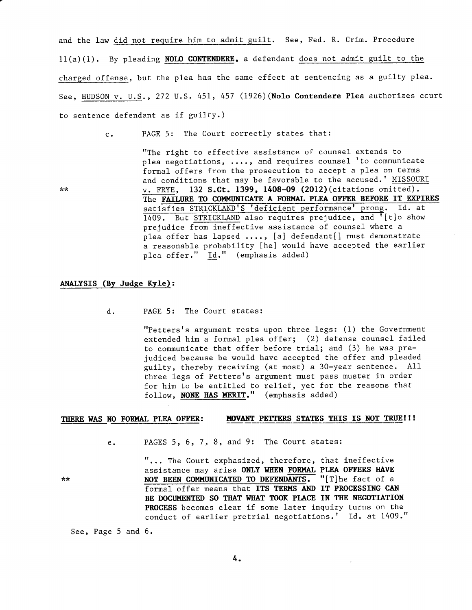and the law did not require him to admit guilt. See, Fed. R. Crim. Procedure  $11(a)(1)$ . By pleading NOLO CONTENDERE, a defendant does not admit guilt to the charged offense, but the plea has the same effect at sentencing as a guilty plea. See, HIJDSON v. U.S., 272 U.S. 451, 457 (L926) (Nolo Contendere Plea authorizes ccurt to sentence defendant as if guilty.)

 $**$ 

c. PAGE 5: The Court correctly states that:

"The right to effective assistance of counsel extends to plea negotiations, ...., and requires counsel 'to communicate formal offers from the prosecution to accept a plea on terms and conditions that may be favorable to the accused.' MISSOURI v. FRYE, 132 S.Ct. 1399, 1408-09 (2OI2) (citations omitted). The FAILURE TO COMMUNICATE A FORMAL PLEA OFFER BEFORE IT EXPIRES prejudice from ineffective assistance of counsel where <sup>a</sup> plea offer has lapsed ...., [a] defendant[] must demonstrate a reasonable probability Ihe] would have accepted the earlier plea offer." Id." (emphasis added) satisfies STRICKLAND'S 'deficient performance' prong. Id. at  $1409.$  But STRICKLAND also requires prejudice, and '[t]o show

### ANALYSIS (By Judge Kyle):

d. PAGE 5: The Court states:

"Petters's argument rests upon three legs: (1) the Government extended him a formal plea offer; (2) defense counsel failed to communicate that offer before trial; and (3) he was prejudiced beeause be would have accepted the offer and pleaded guilty, thereby receiving (at most) a 30-year sentence. All three legs of Petters's argument must pass muster in order for him to be entitled to relief, yet for the reasons that  $f_{\text{ollow}}$ , NONE HAS MERIT." (emphasis added)

### THERE WAS NO FORMAL PLEA OFFER: MOVANT PETTERS STATES THIS IS NOT TRUE!!!

PAGES 5, 6, 7, 8, and 9: The Court states:  $e<sub>1</sub>$ 

 $**$ 

"... The Court exphasized, therefore, that ineffective assistance may arise ONLY WHEN FORMAL PLEA OFFERS HAVE NOT BEEN COMMUNICATED TO DEFENDANTS. "[T]he fact of a formal offer means that ITS TERMS AND IT PROCESSING CAN BE DOCUMENTED SO THAT WHAT TOOK PLACE IN THE NEGOTIATION PROCESS becomes clear if some later inquiry turns on the conduct of earlier pretrial negotiations.! Id. at 1409."

See, Page 5 and 6.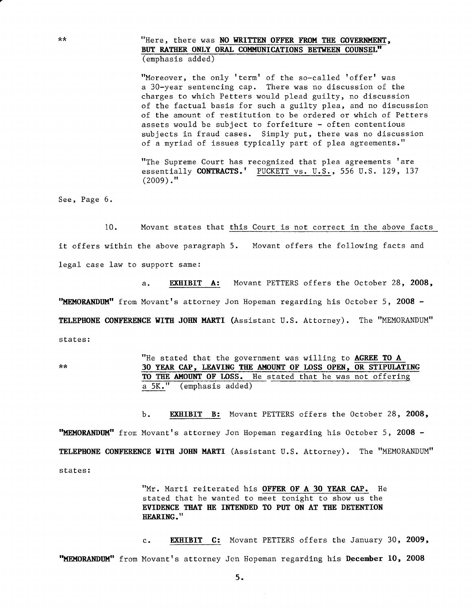"Here, there was NO WRITTEN OFFER FROM THE GOVERNMENT, BUT RATHER ONLY ORAL COMMUNICATIONS BETWEEN COUNSEL" (emphasis added)

"Moreover, the only 'term' of the so-called 'offer' was a 3O-year sentencing cap. There was no discussion of the charges to which Petters would plead guilty, no discussion of the faetual basis for such a guilty plea, and no discussion of the amount of restitution to be ordered or which of Petters assets would be subject to forfeiture - often contentious subjects in fraud cases. Simply put, there was no discussion of a myriad of issues typically part of plea agreements."

"The Supreme Court has recognized that plea agreements 'are essentially CONTRACTS.' PUCKETT vs. U.S., 556 U.S. 129, 137  $(2009)$ ."

See, Page 6.

10. Movant states that this Court is not correct in the above facts it offers within the above paragraph 5. Movant offers the following facts and legal case 1aw to support same:

a. EXHIBIT A: Movant PETTERS offers the October 28, 2008, "MEMORANDUM" from Movant's attorney Jon Hopeman regarding his October 5, 2008 -TELEPHONE CONFERENCE WITH JOHN MARTI (Assistant U.S. Attorney). The "MEMORANDUM" states:

 $\star\star$ 

"He stated that the government was willing to  $AGREE$  TO  $A$ 30 YEAR CAP, LEAVING THE AMOUNT OF LOSS OPEN, OR STIPULATING TO THE AMOUNT OF LOSS. He stated that he was not offering a 5K." (emphasis added)

b. **EXHIBIT B:** Movant PETTERS offers the October 28, 2008, "MEMORANDUM" from Movant's attorney Jon Hopeman regarding his October 5, 2008 -TELEPHONE CONFERENCE WITH JOHN MARTI (Assistant U.S. Attorney). The "MEMORANDUM" states:

> "Mr. Marti reiterated his OFFER OF A 30 YEAR CAP. He stated that he wanted to meet tonight to show us the EVIDENCE THAT HE INTENDED TO PUT ON AT THE DETENTION HEARING."

c. EXHIBIT C: Movant PETTERS offers the January 30, 2009, "MEMORANDUM" from Movant's attorney Jon Hopeman regarding his December 10, 2008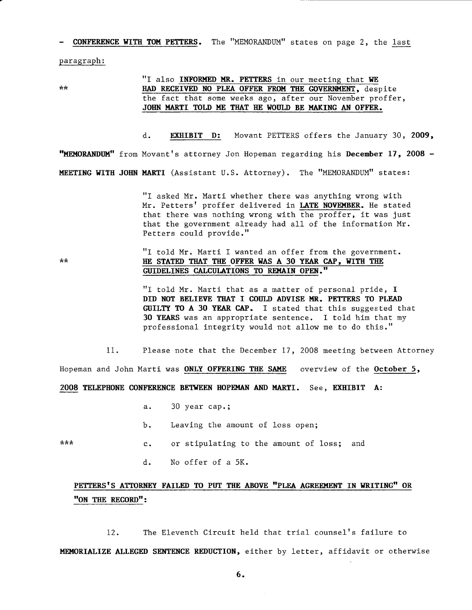**CONFERENCE WITH TOM PETTERS.** The "MEMORANDUM" states on page 2, the last

paragraph:

 $**$ 

# "I also INFORMED MR. PETTERS in our meeting that WE HAD RECEIVED NO PLEA OFFER FROM THE GOVERNMENT, despite the fact that some weeks ago, after our November proffer, JOHN MARTI TOLD ME THAT HE WOULD BE MAKING AN OFFER.

d. EXHIBIT D: Movant PETTERS offers the January 30, 2009, "MEMORANDUM" from Movant's attorney Jon Hopeman regarding his December 17, 2008 -MEETING WITH JOHN MARTI (Assistant U.S. Attorney). The "MEMORANDUM" states:

> "I asked Mr. Marti whether there was anything wrong with Mr. Petters' proffer delivered in LATE NOVEMBER. He stated that there was nothing wrong with the proffer, it was just that the government already had all of the information Mr. Petters could provide."

#### "I told Mr. Marti I wanted an offer from the government.  $**$ HE STATED THAT THE OFFER WAS A 30 YEAR CAP, WITH THE GUIDELINES CALCULATIONS TO REMAIN OPEN."

"I told Mr. Marti that as a matter of personal pride, I DID NOT BELIEVE THAT I COULD ADVISE MR. PETTERS TO PLEAD GUILTY TO A 30 YEAR CAP. I stated that this suggested that 30 YEARS was an appropriate sentence. I told him that my professional integrity would not allow me to do this."

 $11.$ Please note that the December 17, 2008 meeting between Attorney

Hopeman and John Marti was ONLY OFFERING THE SAME overview of the October 5,

2008 TELEPHONE CONFERENCE BETWEEN HOPEMAN AND MARTI. See, EXHIBIT A:

- 30 year cap.;  $a.$
- Leaving the amount of loss open; b.
- \*\*\* or stipulating to the amount of loss; and  $c_{\bullet}$ 
	- No offer of a 5K.  $d.$

# PETTERS'S ATTORNEY FAILED TO PUT THE ABOVE "PLEA AGREEMENT IN WRITING" OR "ON THE RECORD":

The Eleventh Circuit held that trial counsel's failure to  $12.$ MEMORIALIZE ALLEGED SENTENCE REDUCTION, either by letter, affidavit or otherwise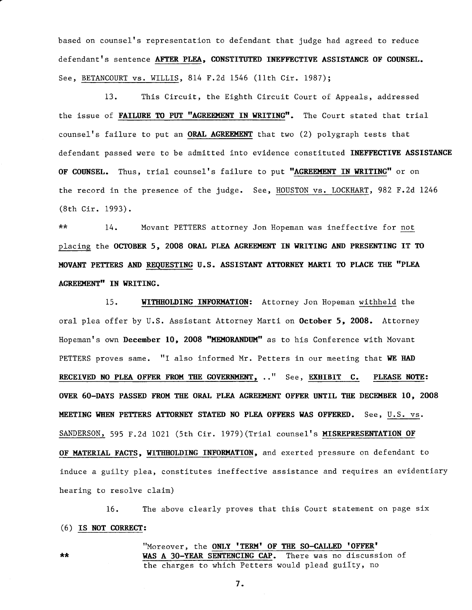based on counsel's representation to defendant that judge had agreed to reduce defendant's sentence AFTER PLEA, CONSTITUTED INEFFECTIVE ASSISTANCE OF COUNSEL. See, BETANCOURT vs. WILLIS, 814 F.2d 1546 (11th Cir. 1987);

13. This Circuit, the Eighth Circuit Court of Appeals, addressed the issue of FAILURE TO PUT "AGREEMENT IN WRITING". The Court stated that trial counsel's failure to put an ORAL AGREEMENT that two (2) polygraph tests that defendant passed were to be admitted into evidence constituted INEFFECTIVE ASSISTANCE OF COUNSEL. Thus, trial counsel's failure to put "AGREEMENT IN WRITING" or on the record in the presence of the judge. See, HOUSTON vs. LOCKHART, 982 F.2d 1246 (8th Cir. 1993).

 $\star\star$ Movant PETTERS attorney Jon Hopeman was ineffective for not 14. placing the OCTOBER 5, 2008 ORAL PLEA AGREEMENT IN WRITING AND PRESENTING IT TO MOVANT PETTERS AND REQUESTING U.S. ASSISTANT ATTORNEY MARTI TO PLACE THE "PLEA AGREEMENT" IN WRITING.

WITHHOLDING INFORMATION: Attorney Jon Hopeman withheld the 15. oral plea offer by U.S. Assistant Attorney Marti on October 5, 2008. Attorney Hopeman's own December 10, 2008 "MEMORANDUM" as to his Conference with Movant PETTERS proves same. "I also informed Mr. Petters in our meeting that WE HAD RECEIVED NO PLEA OFFER FROM THE GOVERNMENT, .." See, EXHIBIT C. PLEASE NOTE: OVER 60-DAYS PASSED FROM THE ORAL PLEA AGREEMENT OFFER UNTIL THE DECEMBER 10, 2008 MEETING WHEN PETTERS ATTORNEY STATED NO PLEA OFFERS WAS OFFERED. See, U.S. vs. SANDERSON, 595 F.2d 1021 (5th Cir. 1979) (Trial counsel's MISREPRESENTATION OF OF MATERIAL FACTS, WITHHOLDING INFORMATION, and exerted pressure on defendant to induce a guilty plea, constitutes ineffective assistance and requires an evidentiary hearing to resolve claim)

The above clearly proves that this Court statement on page six  $16.$ (6) IS NOT CORRECT:

> "Moreover, the ONLY 'TERM' OF THE SO-CALLED 'OFFER' WAS A 30-YEAR SENTENCING CAP. There was no discussion of the charges to which Petters would plead guilty, no

> > $7.$

 $\star\star$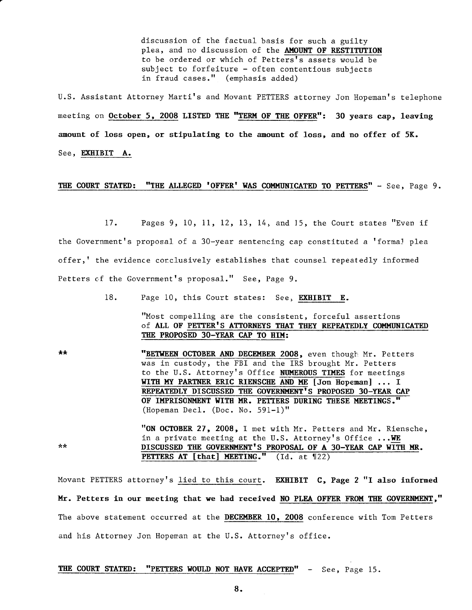discussion of the factual basis for such a guilty plea, and no discussion of the AMOUNT OF RESTITUTION to be ordered or which of Petters's assets would be subject to forfeiture - often contentious subjects in fraud cases." (emphasis added)

U.S. Assistant Attorney Marti's and Movant PETTERS attorney Jon Hopeman's telephone meeting on October 5, 2008 LISTED THE "TERM OF THE OFFER": 30 years cap, leaving amount of loss open, or stipulating to the amount of loss, and no offer of 5K. See, EXHIBIT A.

### THE COURT STATED: "THE ALLEGED 'OFFER' WAS COMMUNICATED TO PETTERS" - See, Page 9.

17. Pages 9, 10,11, 12,13, 14, and 15, the Court states "Even if the Government's proposal of a 30-year sentencing cap constituted a 'formal plea offer,' the evidence conclusively establishes that counsel repeatedly informed Petters of the Government's proposal." See, Page 9.

18. Page 10, this Court states: See, EXHIBIT E.

"Most compelling are the consistent, forceful assertions of ALL OF PETTER'S ATTORNEYS THAT THEY REPEATEDLY COMMUNICATED THE PROPOSED 30-YEAR CAP TO HIM:

 $\pm\pm$ "BETWEEN OCTOBER AND DECEMBER 2008, even though Mr. Petters was in custody, the FBI and the IRS brought Mr. Petters to the U.S. Attorney's Office NUMEROUS TIMES for meetings WITH MY PARTNER ERIC RIENSCHE AND ME [Jon Hopeman] ... I REPEATEDLY DISCUSSED THE GOVERNMENT'S PROPOSED 30-YEAR CAP OF IMPRISONMENT WITH MR. PETTERS DURING THESE MEETINGS." (Hopeman Decl. (Doc. No. 591-1)"

> "ON OCTOBER 27, 2008, I met with Mr. Petters and Mr. Riensche, in a private meeting at the U.S. Attorney's Office ... WE DISCUSSED THE GOVERNMENT'S PROPOSAL OF A 30-YEAR CAP WITH MR. PETTERS AT [that] MEETING." (Id. at  $122$ )

Movant PETTERS attorney's lied to this court. EXHIBIT C, Page 2 "I also informed Mr. Petters in our meeting that we had received NO PLEA OFFER FROM THE GOVERNMENT," The above statement occurred at the DECEMBER 10, 2008 conference with Tom Petters and his Attorney Jon Hopeman at the U.S. Attorney's office.

THE COURT STATED: "PETTERS WOULD NOT HAVE ACCEPTED" - See, Page 15.

\*\*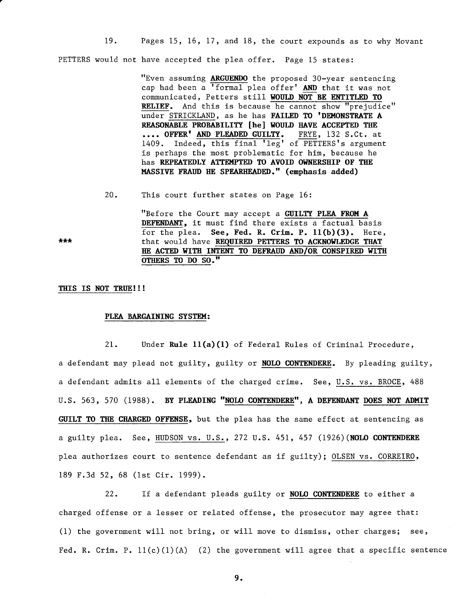19. Pages 15, 16, 17, and 18, the court expounds as to why Movant PETTERS would not have accepted the plea offer. Page 15 states:

> "Even assuming ARGUENDO the proposed 30-year sentencing cap had been a 'formal plea offer' AND that it was not communicated, Petters still WOULD NOT BE ENTITLED TO RELIEF. And this is because he cannot show "prejudice" under STRICKLAND, as he has FAILED TO 'DEMONSTRATE A REASONABLE PROBABILITY [he] WOULD HAVE ACCEPTED THE .... OFFER' AND PLEADED GUILTY. FRYE, 132 S.Ct. at 1409. Indeed, this final 'leg' of PETTERS's argument is perhaps the most problematic for him, because he has REPEATEDLY ATTEMPTED TO AVOID OWNERSHIP OF THE MASSIVE FRAUD HE SPEARHEADED." (emphasis added)

20. This court further states on Page 16:

> "Before the Court may accept a GUILTY PLEA FROM A DEFENDANT, it must find there exists a factual basis for the plea. See, Fed. R. Crim. P. 11(b)(3). Here, that would have REQUIRED PETTERS TO ACKNOWLEDGE THAT HE ACTED WITH INTENT TO DEFRAUD AND/OR CONSPIRED WITH OTHERS TO DO SO."

### THIS IS NOT TRUE!!!

 $***$ 

### PLEA BARGAINING SYSTEM:

 $21.$ Under Rule 11(a)(1) of Federal Rules of Criminal Procedure, a defendant may plead not guilty, guilty or NOLO CONTENDERE. By pleading guilty, a defendant admits all elements of the charged crime. See, U.S. vs. BROCE, 488 U.S. 563, 570 (1988). BY PLEADING "NOLO CONTENDERE", A DEFENDANT DOES NOT ADMIT GUILT TO THE CHARGED OFFENSE, but the plea has the same effect at sentencing as a guilty plea. See, HUDSON vs. U.S., 272 U.S. 451, 457 (1926) (NOLO CONTENDERE plea authorizes court to sentence defendant as if guilty); OLSEN vs. CORREIRO, 189 F.3d 52, 68 (1st Cir. 1999).

 $22.$ If a defendant pleads guilty or NOLO CONTENDERE to either a charged offense or a lesser or related offense, the prosecutor may agree that: (1) the government will not bring, or will move to dismiss, other charges; see, Fed. R. Crim. P.  $11(c)(1)(A)$  (2) the government will agree that a specific sentence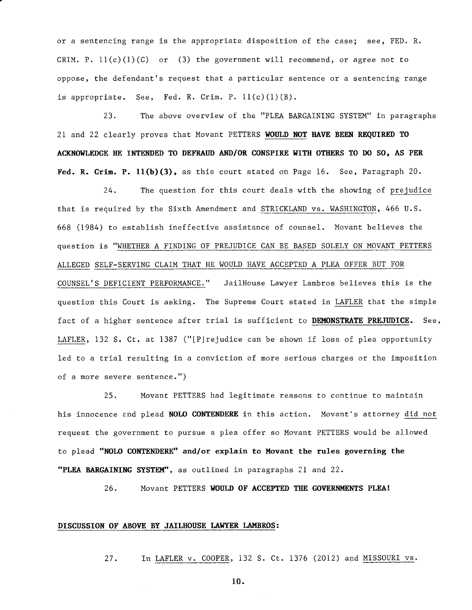or a sentencing range is the appropriate disposition of the case; see, FED. R. CRIM. P.  $11(c)(1)(C)$  or (3) the government will recommend, or agree not to oppose, the defendant's request that a particular sentence or a sentencing range is appropriate. See, Fed. R. Crim. P.  $11(c)(1)(B)$ .

23. The above overview of the "PLEA BARGAINING SYSTEM" in paragraphs 21 and 22 clearly proves that Movant PETTERS WOULD NOT HAVE BEEN REQUIRED TO ACKNOWLEDGE HE INTENDED TO DEFRAUD AND/OR CONSPIRE WITH OTHERS TO DO SO, AS PER Fed. R. Crim. P.  $11(b)(3)$ , as this court stated on Page 16. See, Paragraph 20.

24. The question for this court deals with the showing of prejudice that is required by the Sixth Amendment and STRICKLAND vs. WASHINGTON, 466 U.S. 668 (1984) to establish ineffective assistance of counsel. Movant believes the question is "WHETHER A FINDING OF PREJUDICE CAN BE BASED SOLELY ON MOVANT PETTERS ALLEGED SELF-SERVING CLAIM THAT HE WOULD HAVE ACCEPTED A PLEA OFFER BUT FOR COUNSEL'S DEFICIENT PERFORMANCE." JailHouse Lawyer Lambros believes this is the question this Court is asking. The Supreme Court stated in LAFLER that the simple fact of a higher sentence after trial is sufficient to DEMONSTRATE PREJUDICE. See, LAFLER, 132 S. Ct. at 1387 ("[Pjrejudice can be shown if loss of plea opportunity led to a trial resulting in a conviction of more serious charges or the imposition of a more severe sentence.")

25. Movant PETTERS had legitimate reasons to continue to maintain his innocence and plead **NOLO CONTENDERE** in this action. Movant's attorney <u>did not</u> request the government to pursue a plea offer so Movant PETTERS would be allowed to plead "NOLO CONTENDERE" and/or explain to Movant the rules governing the "PLEA BARGAINING SYSTEM", as outlined in paragraphs 21 and 22.

26. Movant PETTERS WOULD OF ACCEPTED THE GOVERNMENTS PLEA!

# DISCUSSION OF ABOVE BY JAILHOUSE LAWYER LAMBROS:

27. In LAFLER v. COOPER, 132 S. Ct. 1376 (2012) and MISSOURI vs.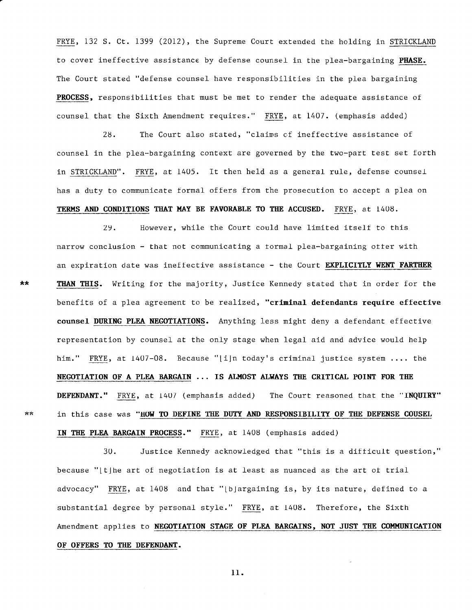FRYE, 132 S. Ct. 1399 (2012), the Supreme Court extended the holding in STRICKLANI to cover ineffective assistance by defense counsel in the plea-bargaining **PHASE**. The Court stated "defense counsel have responsibilities in the plea bargaining PROCESS, responsibilities that must be met to render the adequate assistance of counsel that the Sixth Amendment requires." FRYE, at 1407. (emphasis added)

28. The Court also stated, "claims cf ineffective assistance of counsel in the plea-bargaining context are governed by the two-part test set forth in STRICKLAND". FRYE, at 1405. It then held as a general rule, defense counsel has a duty to communicate formal offers from the prosecution to accept a plea on TERMS AND CONDITIONS THAT MAY BE FAVORABLE TO THE ACCUSED. FRYE, at 1408.

29. Ilowever, while the Court could have limited itself to this narrow conclusion - that not communicating a tormal plea-bargaining otter with an expiration date was ineffective assistance - the Court EXPLICITLY WENT FARTHER THAN THIS. Writing for the majority, Justice Kennedy stated that in order for the benefits of a plea agreement to be realized, "criminal defendants require effective counsel DURING PLEA NEGOTIATIONS. Anything less might deny a defendant effective representation by counsel at the only stage when legal aid and advice would help him." FRYE, at 1407-08. Because "[i]n today's criminal justice system .... the NEGOTIATION OF A PLEA BARGAIN ... IS ALMOST ALWAYS THE CRITICAL POINT FOR THE DEFENDANT." FRYE, at 1407 (emphasis added) The Court reasoned that the "INQUIRY" in this case was "HOW TO DEFINE THE DUTY AND RESPONSIBILITY OF THE DEFENSE COUSEL IN THE PLEA BARGAIN PROCESS." FRYE, at 1408 (emphasis added)

30. Justice Kennedy acknowledged that "this is a difficult question," because " $\lfloor t \rfloor$ he art of negotiation is at least as nuanced as the art of tria advocacy"  $\texttt{FRYE}$ , at 1408 and that "[b]argaining is, by its nature, defined to a substantial degree by personal style." FRYE, at 1408. Therefore, the Sixth Amendment applies to NEGOTIATION STAGE OF PLEA BARGAINS, NOT JUST THE COMMUNICATION OF OFFERS TO THE DEFENDANT.

 $**$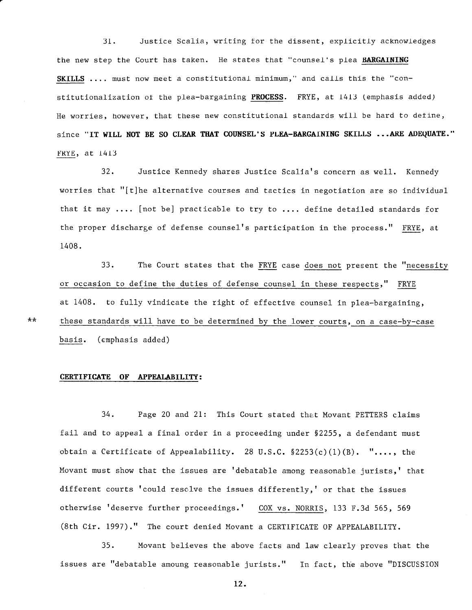$31.$ Justice Scalia, writing for the dissent, explicitly acknowledges the new step the Court has taken. He states that "counsel's plea BARGAINING SKILLS .... must now meet a constitutional minimum," and calls this the "constitutionalization of the plea-bargaining PROCESS. FRYE, at 1413 (emphasis added) He worries, however, that these new constitutional standards will be hard to define, since "IT WILL NOT BE SO CLEAR THAT COUNSEL'S PLEA-BARGAINING SKILLS ... ARE ADEQUATE." FRYE, at 1413

 $32.$ Justice Kennedy shares Justice Scalia's concern as well. Kennedy worries that "[t]he alternative courses and tactics in negotiation are so individual that it may .... [not be] practicable to try to .... define detailed standards for the proper discharge of defense counsel's participation in the process." FRYE, at 1408.

 $33.$ The Court states that the FRYE case does not present the "necessity or occasion to define the duties of defense counsel in these respects," FRYE at 1408. to fully vindicate the right of effective counsel in plea-bargaining, these standards will have to be determined by the lower courts, on a case-by-case (emphasis added) basis.

CERTIFICATE OF APPEALABILITY:

 $**$ 

# 34. Page 20 and 21: This Court stated that Movant PETTERS claims fail and to appeal a final order in a proceeding under \$2255, a defendant must obtain a Certificate of Appealability. 28 U.S.C.  $$2253(c)(1)(B)$ . "..., the Movant must show that the issues are 'debatable among reasonable jurists,' that different courts 'could resclve the issues differently,' or that the issues otherwise 'deserve further proceedings.' COX vs. NORRIS, 133 F.3d 565, 569 (8th Cir. 1997)." The court denied Movant a CERTIFICATE OF APPEALABILITY.

 $35.$ Movant believes the above facts and law clearly proves that the issues are "debatable amoung reasonable jurists." In fact, the above "DISCUSSION